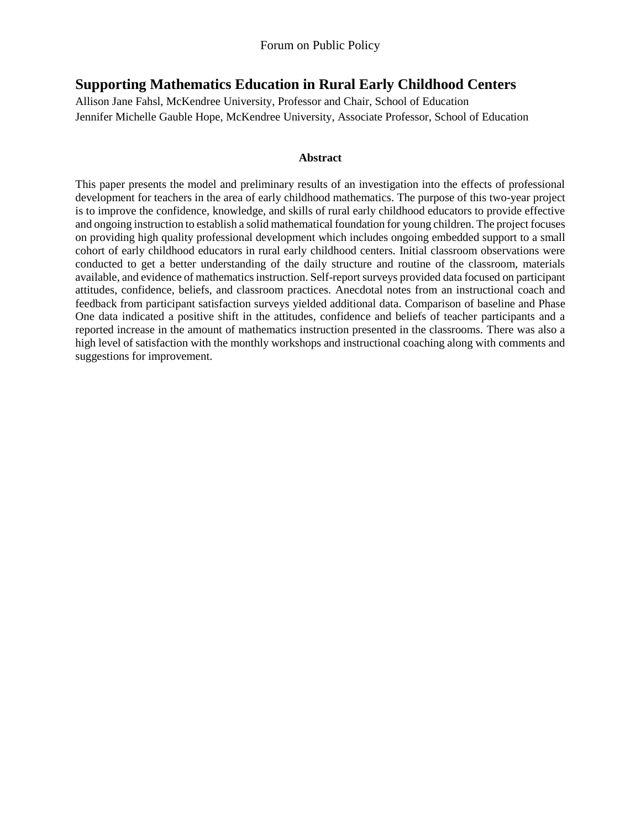# **Supporting Mathematics Education in Rural Early Childhood Centers**

Allison Jane Fahsl, McKendree University, Professor and Chair, School of Education Jennifer Michelle Gauble Hope, McKendree University, Associate Professor, School of Education

#### **Abstract**

This paper presents the model and preliminary results of an investigation into the effects of professional development for teachers in the area of early childhood mathematics. The purpose of this two-year project is to improve the confidence, knowledge, and skills of rural early childhood educators to provide effective and ongoing instruction to establish a solid mathematical foundation for young children. The project focuses on providing high quality professional development which includes ongoing embedded support to a small cohort of early childhood educators in rural early childhood centers. Initial classroom observations were conducted to get a better understanding of the daily structure and routine of the classroom, materials available, and evidence of mathematics instruction. Self-report surveys provided data focused on participant attitudes, confidence, beliefs, and classroom practices. Anecdotal notes from an instructional coach and feedback from participant satisfaction surveys yielded additional data. Comparison of baseline and Phase One data indicated a positive shift in the attitudes, confidence and beliefs of teacher participants and a reported increase in the amount of mathematics instruction presented in the classrooms. There was also a high level of satisfaction with the monthly workshops and instructional coaching along with comments and suggestions for improvement.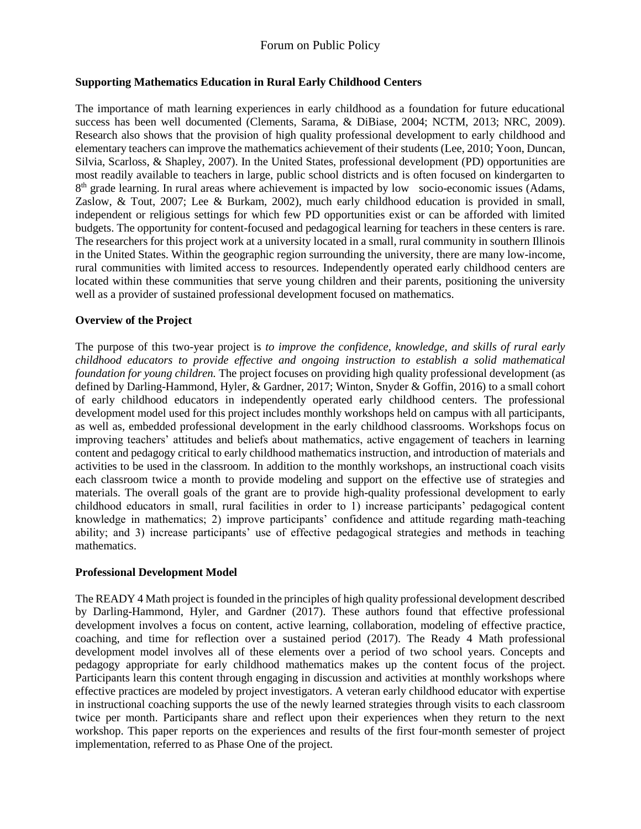## Forum on Public Policy

#### **Supporting Mathematics Education in Rural Early Childhood Centers**

The importance of math learning experiences in early childhood as a foundation for future educational success has been well documented (Clements, Sarama, & DiBiase, 2004; NCTM, 2013; NRC, 2009). Research also shows that the provision of high quality professional development to early childhood and elementary teachers can improve the mathematics achievement of their students (Lee, 2010; Yoon, Duncan, Silvia, Scarloss, & Shapley, 2007). In the United States, professional development (PD) opportunities are most readily available to teachers in large, public school districts and is often focused on kindergarten to 8<sup>th</sup> grade learning. In rural areas where achievement is impacted by low socio-economic issues (Adams, Zaslow, & Tout, 2007; Lee & Burkam, 2002), much early childhood education is provided in small, independent or religious settings for which few PD opportunities exist or can be afforded with limited budgets. The opportunity for content-focused and pedagogical learning for teachers in these centers is rare. The researchers for this project work at a university located in a small, rural community in southern Illinois in the United States. Within the geographic region surrounding the university, there are many low-income, rural communities with limited access to resources. Independently operated early childhood centers are located within these communities that serve young children and their parents, positioning the university well as a provider of sustained professional development focused on mathematics.

#### **Overview of the Project**

The purpose of this two-year project is *to improve the confidence, knowledge, and skills of rural early childhood educators to provide effective and ongoing instruction to establish a solid mathematical foundation for young children.* The project focuses on providing high quality professional development (as defined by Darling-Hammond, Hyler, & Gardner, 2017; Winton, Snyder & Goffin, 2016) to a small cohort of early childhood educators in independently operated early childhood centers. The professional development model used for this project includes monthly workshops held on campus with all participants, as well as, embedded professional development in the early childhood classrooms. Workshops focus on improving teachers' attitudes and beliefs about mathematics, active engagement of teachers in learning content and pedagogy critical to early childhood mathematics instruction, and introduction of materials and activities to be used in the classroom. In addition to the monthly workshops, an instructional coach visits each classroom twice a month to provide modeling and support on the effective use of strategies and materials. The overall goals of the grant are to provide high-quality professional development to early childhood educators in small, rural facilities in order to 1) increase participants' pedagogical content knowledge in mathematics; 2) improve participants' confidence and attitude regarding math-teaching ability; and 3) increase participants' use of effective pedagogical strategies and methods in teaching mathematics.

#### **Professional Development Model**

The READY 4 Math project is founded in the principles of high quality professional development described by Darling-Hammond, Hyler, and Gardner (2017). These authors found that effective professional development involves a focus on content, active learning, collaboration, modeling of effective practice, coaching, and time for reflection over a sustained period (2017). The Ready 4 Math professional development model involves all of these elements over a period of two school years. Concepts and pedagogy appropriate for early childhood mathematics makes up the content focus of the project. Participants learn this content through engaging in discussion and activities at monthly workshops where effective practices are modeled by project investigators. A veteran early childhood educator with expertise in instructional coaching supports the use of the newly learned strategies through visits to each classroom twice per month. Participants share and reflect upon their experiences when they return to the next workshop. This paper reports on the experiences and results of the first four-month semester of project implementation, referred to as Phase One of the project.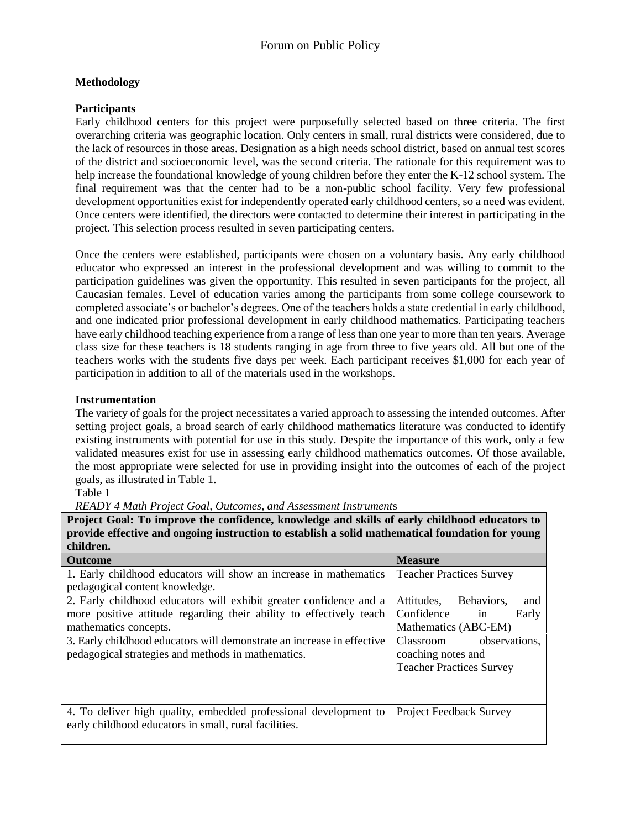## **Methodology**

### **Participants**

Early childhood centers for this project were purposefully selected based on three criteria. The first overarching criteria was geographic location. Only centers in small, rural districts were considered, due to the lack of resources in those areas. Designation as a high needs school district, based on annual test scores of the district and socioeconomic level, was the second criteria. The rationale for this requirement was to help increase the foundational knowledge of young children before they enter the K-12 school system. The final requirement was that the center had to be a non-public school facility. Very few professional development opportunities exist for independently operated early childhood centers, so a need was evident. Once centers were identified, the directors were contacted to determine their interest in participating in the project. This selection process resulted in seven participating centers.

Once the centers were established, participants were chosen on a voluntary basis. Any early childhood educator who expressed an interest in the professional development and was willing to commit to the participation guidelines was given the opportunity. This resulted in seven participants for the project, all Caucasian females. Level of education varies among the participants from some college coursework to completed associate's or bachelor's degrees. One of the teachers holds a state credential in early childhood, and one indicated prior professional development in early childhood mathematics. Participating teachers have early childhood teaching experience from a range of less than one year to more than ten years. Average class size for these teachers is 18 students ranging in age from three to five years old. All but one of the teachers works with the students five days per week. Each participant receives \$1,000 for each year of participation in addition to all of the materials used in the workshops.

### **Instrumentation**

The variety of goals for the project necessitates a varied approach to assessing the intended outcomes. After setting project goals, a broad search of early childhood mathematics literature was conducted to identify existing instruments with potential for use in this study. Despite the importance of this work, only a few validated measures exist for use in assessing early childhood mathematics outcomes. Of those available, the most appropriate were selected for use in providing insight into the outcomes of each of the project goals, as illustrated in Table 1.

#### Table 1

*READY 4 Math Project Goal, Outcomes, and Assessment Instrument*s

**Project Goal: To improve the confidence, knowledge and skills of early childhood educators to provide effective and ongoing instruction to establish a solid mathematical foundation for young children.**

| <b>Outcome</b>                                                         | <b>Measure</b>                  |  |  |
|------------------------------------------------------------------------|---------------------------------|--|--|
| 1. Early childhood educators will show an increase in mathematics      | <b>Teacher Practices Survey</b> |  |  |
| pedagogical content knowledge.                                         |                                 |  |  |
| 2. Early childhood educators will exhibit greater confidence and a     | Attitudes.<br>Behaviors.<br>and |  |  |
| more positive attitude regarding their ability to effectively teach    | Confidence<br>Early<br>in       |  |  |
| mathematics concepts.                                                  | Mathematics (ABC-EM)            |  |  |
| 3. Early childhood educators will demonstrate an increase in effective | observations.<br>Classroom      |  |  |
| pedagogical strategies and methods in mathematics.                     | coaching notes and              |  |  |
|                                                                        | <b>Teacher Practices Survey</b> |  |  |
|                                                                        |                                 |  |  |
|                                                                        |                                 |  |  |
| 4. To deliver high quality, embedded professional development to       | <b>Project Feedback Survey</b>  |  |  |
| early childhood educators in small, rural facilities.                  |                                 |  |  |
|                                                                        |                                 |  |  |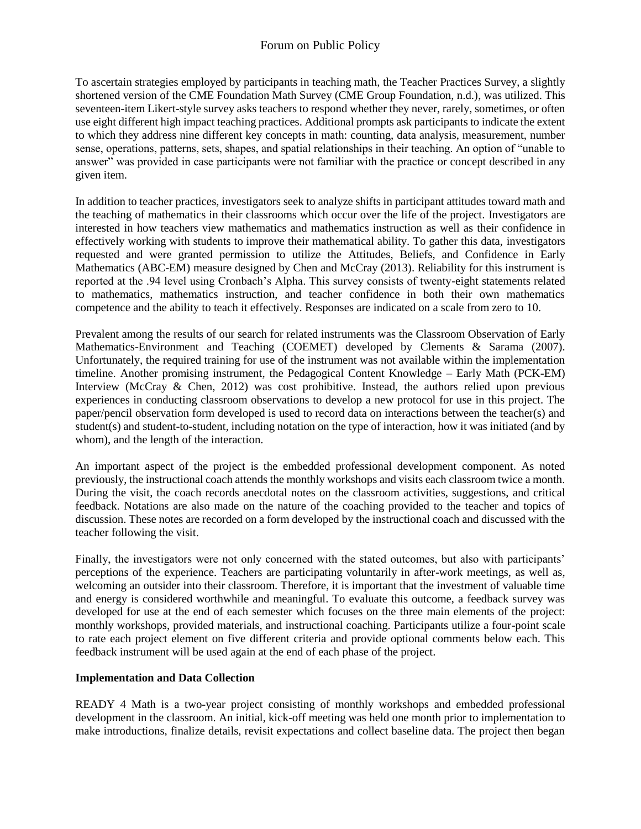To ascertain strategies employed by participants in teaching math, the Teacher Practices Survey, a slightly shortened version of the CME Foundation Math Survey (CME Group Foundation, n.d.), was utilized. This seventeen-item Likert-style survey asks teachers to respond whether they never, rarely, sometimes, or often use eight different high impact teaching practices. Additional prompts ask participants to indicate the extent to which they address nine different key concepts in math: counting, data analysis, measurement, number sense, operations, patterns, sets, shapes, and spatial relationships in their teaching. An option of "unable to answer" was provided in case participants were not familiar with the practice or concept described in any given item.

In addition to teacher practices, investigators seek to analyze shifts in participant attitudes toward math and the teaching of mathematics in their classrooms which occur over the life of the project. Investigators are interested in how teachers view mathematics and mathematics instruction as well as their confidence in effectively working with students to improve their mathematical ability. To gather this data, investigators requested and were granted permission to utilize the Attitudes, Beliefs, and Confidence in Early Mathematics (ABC-EM) measure designed by Chen and McCray (2013). Reliability for this instrument is reported at the .94 level using Cronbach's Alpha. This survey consists of twenty-eight statements related to mathematics, mathematics instruction, and teacher confidence in both their own mathematics competence and the ability to teach it effectively. Responses are indicated on a scale from zero to 10.

Prevalent among the results of our search for related instruments was the Classroom Observation of Early Mathematics-Environment and Teaching (COEMET) developed by Clements & Sarama (2007). Unfortunately, the required training for use of the instrument was not available within the implementation timeline. Another promising instrument, the Pedagogical Content Knowledge – Early Math (PCK-EM) Interview [\(McCray](https://earlymath.erikson.edu/collaborators/jennifermccray/) & Chen, 2012) was cost prohibitive. Instead, the authors relied upon previous experiences in conducting classroom observations to develop a new protocol for use in this project. The paper/pencil observation form developed is used to record data on interactions between the teacher(s) and student(s) and student-to-student, including notation on the type of interaction, how it was initiated (and by whom), and the length of the interaction.

An important aspect of the project is the embedded professional development component. As noted previously, the instructional coach attends the monthly workshops and visits each classroom twice a month. During the visit, the coach records anecdotal notes on the classroom activities, suggestions, and critical feedback. Notations are also made on the nature of the coaching provided to the teacher and topics of discussion. These notes are recorded on a form developed by the instructional coach and discussed with the teacher following the visit.

Finally, the investigators were not only concerned with the stated outcomes, but also with participants' perceptions of the experience. Teachers are participating voluntarily in after-work meetings, as well as, welcoming an outsider into their classroom. Therefore, it is important that the investment of valuable time and energy is considered worthwhile and meaningful. To evaluate this outcome, a feedback survey was developed for use at the end of each semester which focuses on the three main elements of the project: monthly workshops, provided materials, and instructional coaching. Participants utilize a four-point scale to rate each project element on five different criteria and provide optional comments below each. This feedback instrument will be used again at the end of each phase of the project.

#### **Implementation and Data Collection**

READY 4 Math is a two-year project consisting of monthly workshops and embedded professional development in the classroom. An initial, kick-off meeting was held one month prior to implementation to make introductions, finalize details, revisit expectations and collect baseline data. The project then began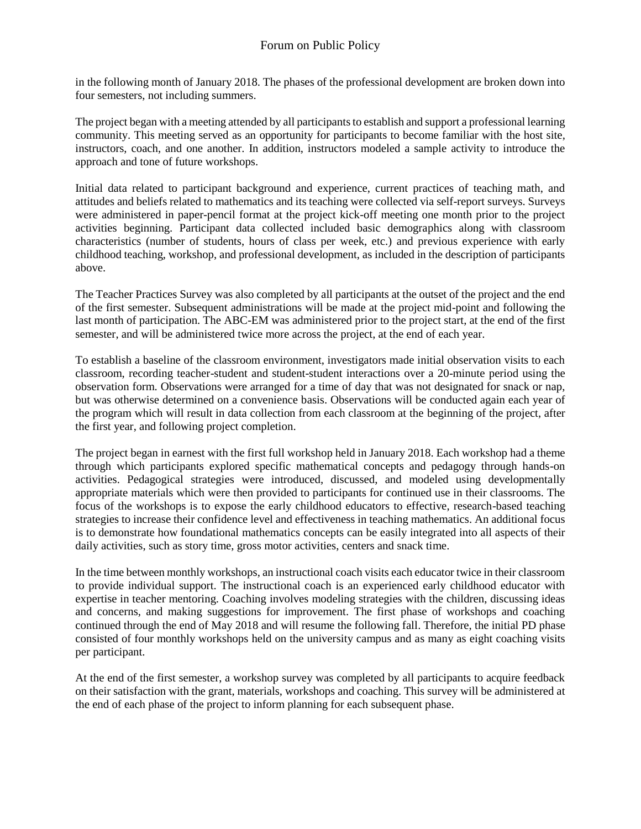in the following month of January 2018. The phases of the professional development are broken down into four semesters, not including summers.

The project began with a meeting attended by all participants to establish and support a professional learning community. This meeting served as an opportunity for participants to become familiar with the host site, instructors, coach, and one another. In addition, instructors modeled a sample activity to introduce the approach and tone of future workshops.

Initial data related to participant background and experience, current practices of teaching math, and attitudes and beliefs related to mathematics and its teaching were collected via self-report surveys. Surveys were administered in paper-pencil format at the project kick-off meeting one month prior to the project activities beginning. Participant data collected included basic demographics along with classroom characteristics (number of students, hours of class per week, etc.) and previous experience with early childhood teaching, workshop, and professional development, as included in the description of participants above.

The Teacher Practices Survey was also completed by all participants at the outset of the project and the end of the first semester. Subsequent administrations will be made at the project mid-point and following the last month of participation. The ABC-EM was administered prior to the project start, at the end of the first semester, and will be administered twice more across the project, at the end of each year.

To establish a baseline of the classroom environment, investigators made initial observation visits to each classroom, recording teacher-student and student-student interactions over a 20-minute period using the observation form. Observations were arranged for a time of day that was not designated for snack or nap, but was otherwise determined on a convenience basis. Observations will be conducted again each year of the program which will result in data collection from each classroom at the beginning of the project, after the first year, and following project completion.

The project began in earnest with the first full workshop held in January 2018. Each workshop had a theme through which participants explored specific mathematical concepts and pedagogy through hands-on activities. Pedagogical strategies were introduced, discussed, and modeled using developmentally appropriate materials which were then provided to participants for continued use in their classrooms. The focus of the workshops is to expose the early childhood educators to effective, research-based teaching strategies to increase their confidence level and effectiveness in teaching mathematics. An additional focus is to demonstrate how foundational mathematics concepts can be easily integrated into all aspects of their daily activities, such as story time, gross motor activities, centers and snack time.

In the time between monthly workshops, an instructional coach visits each educator twice in their classroom to provide individual support. The instructional coach is an experienced early childhood educator with expertise in teacher mentoring. Coaching involves modeling strategies with the children, discussing ideas and concerns, and making suggestions for improvement. The first phase of workshops and coaching continued through the end of May 2018 and will resume the following fall. Therefore, the initial PD phase consisted of four monthly workshops held on the university campus and as many as eight coaching visits per participant.

At the end of the first semester, a workshop survey was completed by all participants to acquire feedback on their satisfaction with the grant, materials, workshops and coaching. This survey will be administered at the end of each phase of the project to inform planning for each subsequent phase.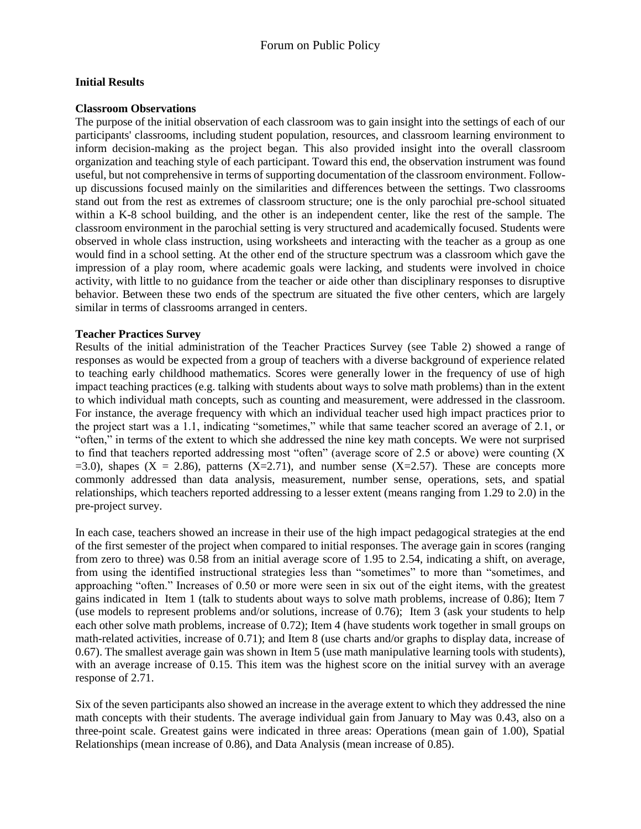#### **Initial Results**

#### **Classroom Observations**

The purpose of the initial observation of each classroom was to gain insight into the settings of each of our participants' classrooms, including student population, resources, and classroom learning environment to inform decision-making as the project began. This also provided insight into the overall classroom organization and teaching style of each participant. Toward this end, the observation instrument was found useful, but not comprehensive in terms of supporting documentation of the classroom environment. Followup discussions focused mainly on the similarities and differences between the settings. Two classrooms stand out from the rest as extremes of classroom structure; one is the only parochial pre-school situated within a K-8 school building, and the other is an independent center, like the rest of the sample. The classroom environment in the parochial setting is very structured and academically focused. Students were observed in whole class instruction, using worksheets and interacting with the teacher as a group as one would find in a school setting. At the other end of the structure spectrum was a classroom which gave the impression of a play room, where academic goals were lacking, and students were involved in choice activity, with little to no guidance from the teacher or aide other than disciplinary responses to disruptive behavior. Between these two ends of the spectrum are situated the five other centers, which are largely similar in terms of classrooms arranged in centers.

#### **Teacher Practices Survey**

Results of the initial administration of the Teacher Practices Survey (see Table 2) showed a range of responses as would be expected from a group of teachers with a diverse background of experience related to teaching early childhood mathematics. Scores were generally lower in the frequency of use of high impact teaching practices (e.g. talking with students about ways to solve math problems) than in the extent to which individual math concepts, such as counting and measurement, were addressed in the classroom. For instance, the average frequency with which an individual teacher used high impact practices prior to the project start was a 1.1, indicating "sometimes," while that same teacher scored an average of 2.1, or "often," in terms of the extent to which she addressed the nine key math concepts. We were not surprised to find that teachers reported addressing most "often" (average score of 2.5 or above) were counting (X  $=3.0$ ), shapes (X = 2.86), patterns (X=2.71), and number sense (X=2.57). These are concepts more commonly addressed than data analysis, measurement, number sense, operations, sets, and spatial relationships, which teachers reported addressing to a lesser extent (means ranging from 1.29 to 2.0) in the pre-project survey.

In each case, teachers showed an increase in their use of the high impact pedagogical strategies at the end of the first semester of the project when compared to initial responses. The average gain in scores (ranging from zero to three) was 0.58 from an initial average score of 1.95 to 2.54, indicating a shift, on average, from using the identified instructional strategies less than "sometimes" to more than "sometimes, and approaching "often." Increases of 0.50 or more were seen in six out of the eight items, with the greatest gains indicated in Item 1 (talk to students about ways to solve math problems, increase of 0.86); Item 7 (use models to represent problems and/or solutions, increase of 0.76); Item 3 (ask your students to help each other solve math problems, increase of 0.72); Item 4 (have students work together in small groups on math-related activities, increase of 0.71); and Item 8 (use charts and/or graphs to display data, increase of 0.67). The smallest average gain was shown in Item 5 (use math manipulative learning tools with students), with an average increase of 0.15. This item was the highest score on the initial survey with an average response of 2.71.

Six of the seven participants also showed an increase in the average extent to which they addressed the nine math concepts with their students. The average individual gain from January to May was 0.43, also on a three-point scale. Greatest gains were indicated in three areas: Operations (mean gain of 1.00), Spatial Relationships (mean increase of 0.86), and Data Analysis (mean increase of 0.85).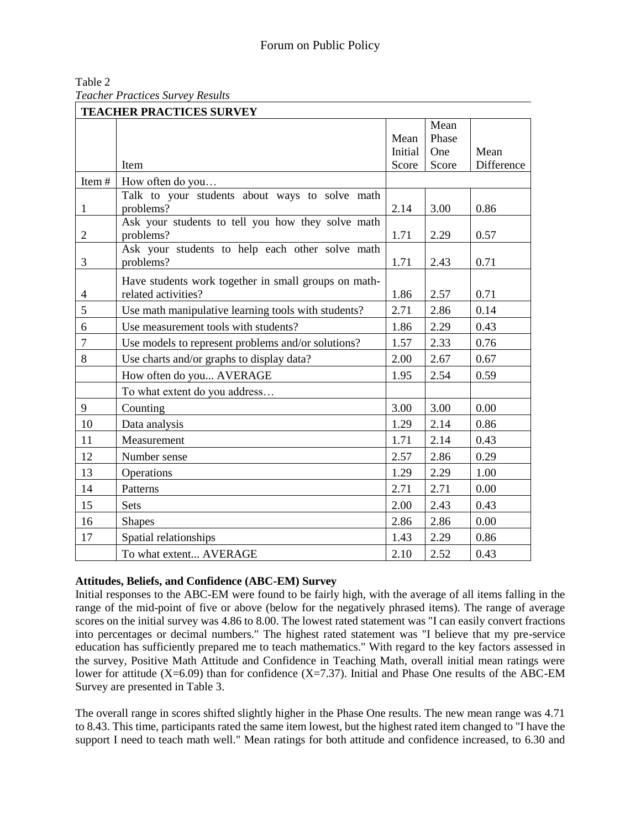| Table 2                                 |  |
|-----------------------------------------|--|
| <b>Teacher Practices Survey Results</b> |  |

|                | <b>TEACHER PRACTICES SURVEY</b>                              |         |       |                    |  |
|----------------|--------------------------------------------------------------|---------|-------|--------------------|--|
|                |                                                              |         | Mean  |                    |  |
|                |                                                              | Mean    | Phase |                    |  |
|                |                                                              | Initial | One   | Mean<br>Difference |  |
|                | Item                                                         | Score   | Score |                    |  |
| Item#          | How often do you                                             |         |       |                    |  |
| $\mathbf{1}$   | Talk to your students about ways to solve math<br>problems?  | 2.14    | 3.00  | 0.86               |  |
|                | Ask your students to tell you how they solve math            |         |       |                    |  |
| 2              | problems?                                                    | 1.71    | 2.29  | 0.57               |  |
| 3              | Ask your students to help each other solve math<br>problems? | 1.71    | 2.43  | 0.71               |  |
|                | Have students work together in small groups on math-         |         |       |                    |  |
| $\overline{4}$ | related activities?                                          | 1.86    | 2.57  | 0.71               |  |
| 5              | Use math manipulative learning tools with students?          | 2.71    | 2.86  | 0.14               |  |
| 6              | Use measurement tools with students?                         | 1.86    | 2.29  | 0.43               |  |
| $\overline{7}$ | Use models to represent problems and/or solutions?           | 1.57    | 2.33  | 0.76               |  |
| 8              | Use charts and/or graphs to display data?                    | 2.00    | 2.67  | 0.67               |  |
|                | How often do you AVERAGE                                     | 1.95    | 2.54  | 0.59               |  |
|                | To what extent do you address                                |         |       |                    |  |
| 9              | Counting                                                     | 3.00    | 3.00  | 0.00               |  |
| 10             | Data analysis                                                | 1.29    | 2.14  | 0.86               |  |
| 11             | Measurement                                                  | 1.71    | 2.14  | 0.43               |  |
| 12             | Number sense                                                 | 2.57    | 2.86  | 0.29               |  |
| 13             | Operations                                                   | 1.29    | 2.29  | 1.00               |  |
| 14             | Patterns                                                     | 2.71    | 2.71  | 0.00               |  |
| 15             | <b>Sets</b>                                                  | 2.00    | 2.43  | 0.43               |  |
| 16             | <b>Shapes</b>                                                | 2.86    | 2.86  | 0.00               |  |
| 17             | Spatial relationships                                        | 1.43    | 2.29  | 0.86               |  |
|                | To what extent AVERAGE                                       | 2.10    | 2.52  | 0.43               |  |

#### **Attitudes, Beliefs, and Confidence (ABC-EM) Survey**

Initial responses to the ABC-EM were found to be fairly high, with the average of all items falling in the range of the mid-point of five or above (below for the negatively phrased items). The range of average scores on the initial survey was 4.86 to 8.00. The lowest rated statement was "I can easily convert fractions into percentages or decimal numbers." The highest rated statement was "I believe that my pre-service education has sufficiently prepared me to teach mathematics." With regard to the key factors assessed in the survey, Positive Math Attitude and Confidence in Teaching Math, overall initial mean ratings were lower for attitude (X=6.09) than for confidence (X=7.37). Initial and Phase One results of the ABC-EM Survey are presented in Table 3.

The overall range in scores shifted slightly higher in the Phase One results. The new mean range was 4.71 to 8.43. This time, participants rated the same item lowest, but the highest rated item changed to "I have the support I need to teach math well." Mean ratings for both attitude and confidence increased, to 6.30 and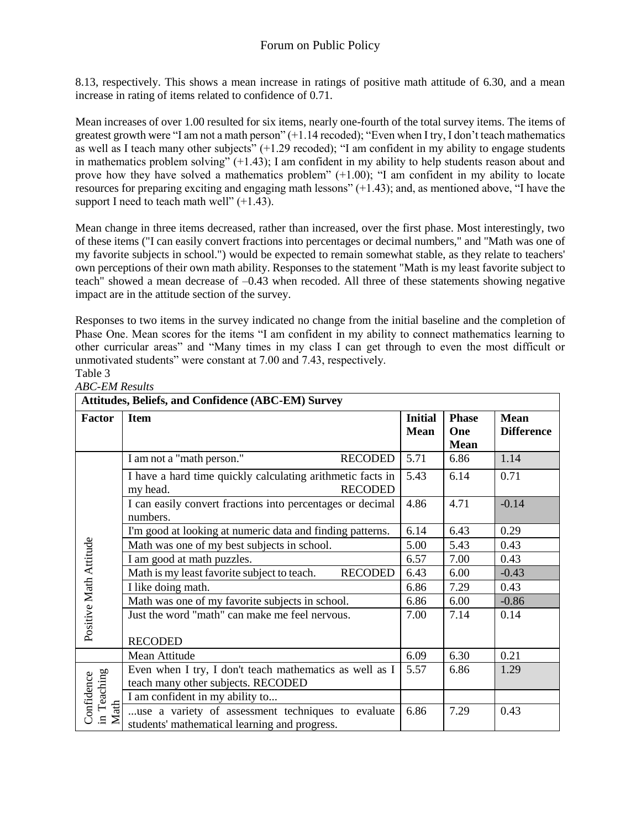8.13, respectively. This shows a mean increase in ratings of positive math attitude of 6.30, and a mean increase in rating of items related to confidence of 0.71.

Mean increases of over 1.00 resulted for six items, nearly one-fourth of the total survey items. The items of greatest growth were "I am not a math person" (+1.14 recoded); "Even when I try, I don't teach mathematics as well as I teach many other subjects" (+1.29 recoded); "I am confident in my ability to engage students in mathematics problem solving" (+1.43); I am confident in my ability to help students reason about and prove how they have solved a mathematics problem" (+1.00); "I am confident in my ability to locate resources for preparing exciting and engaging math lessons" (+1.43); and, as mentioned above, "I have the support I need to teach math well"  $(+1.43)$ .

Mean change in three items decreased, rather than increased, over the first phase. Most interestingly, two of these items ("I can easily convert fractions into percentages or decimal numbers," and "Math was one of my favorite subjects in school.") would be expected to remain somewhat stable, as they relate to teachers' own perceptions of their own math ability. Responses to the statement "Math is my least favorite subject to teach" showed a mean decrease of –0.43 when recoded. All three of these statements showing negative impact are in the attitude section of the survey.

Responses to two items in the survey indicated no change from the initial baseline and the completion of Phase One. Mean scores for the items "I am confident in my ability to connect mathematics learning to other curricular areas" and "Many times in my class I can get through to even the most difficult or unmotivated students" were constant at 7.00 and 7.43, respectively. Table 3

*ABC-EM Results*

| <b>Attitudes, Beliefs, and Confidence (ABC-EM) Survey</b> |                                                                                                     |                               |                                    |                                  |
|-----------------------------------------------------------|-----------------------------------------------------------------------------------------------------|-------------------------------|------------------------------------|----------------------------------|
| <b>Factor</b>                                             | <b>Item</b>                                                                                         | <b>Initial</b><br><b>Mean</b> | <b>Phase</b><br>One<br><b>Mean</b> | <b>Mean</b><br><b>Difference</b> |
|                                                           | I am not a "math person."<br><b>RECODED</b>                                                         | 5.71                          | 6.86                               | 1.14                             |
|                                                           | I have a hard time quickly calculating arithmetic facts in<br><b>RECODED</b><br>my head.            | 5.43                          | 6.14                               | 0.71                             |
|                                                           | I can easily convert fractions into percentages or decimal<br>numbers.                              | 4.86                          | 4.71                               | $-0.14$                          |
|                                                           | I'm good at looking at numeric data and finding patterns.                                           | 6.14                          | 6.43                               | 0.29                             |
|                                                           | Math was one of my best subjects in school.                                                         | 5.00                          | 5.43                               | 0.43                             |
| Positive Math Attitude                                    | I am good at math puzzles.                                                                          | 6.57                          | 7.00                               | 0.43                             |
|                                                           | Math is my least favorite subject to teach.<br><b>RECODED</b>                                       | 6.43                          | 6.00                               | $-0.43$                          |
|                                                           | I like doing math.                                                                                  | 6.86                          | 7.29                               | 0.43                             |
|                                                           | Math was one of my favorite subjects in school.                                                     | 6.86                          | 6.00                               | $-0.86$                          |
|                                                           | Just the word "math" can make me feel nervous.                                                      | 7.00                          | 7.14                               | 0.14                             |
|                                                           | <b>RECODED</b>                                                                                      |                               |                                    |                                  |
|                                                           | Mean Attitude                                                                                       | 6.09                          | 6.30                               | 0.21                             |
|                                                           | Even when I try, I don't teach mathematics as well as I                                             | 5.57                          | 6.86                               | 1.29                             |
| in Teaching<br>Confidence<br>Math                         | teach many other subjects. RECODED                                                                  |                               |                                    |                                  |
|                                                           | I am confident in my ability to                                                                     |                               |                                    |                                  |
|                                                           | use a variety of assessment techniques to evaluate<br>students' mathematical learning and progress. | 6.86                          | 7.29                               | 0.43                             |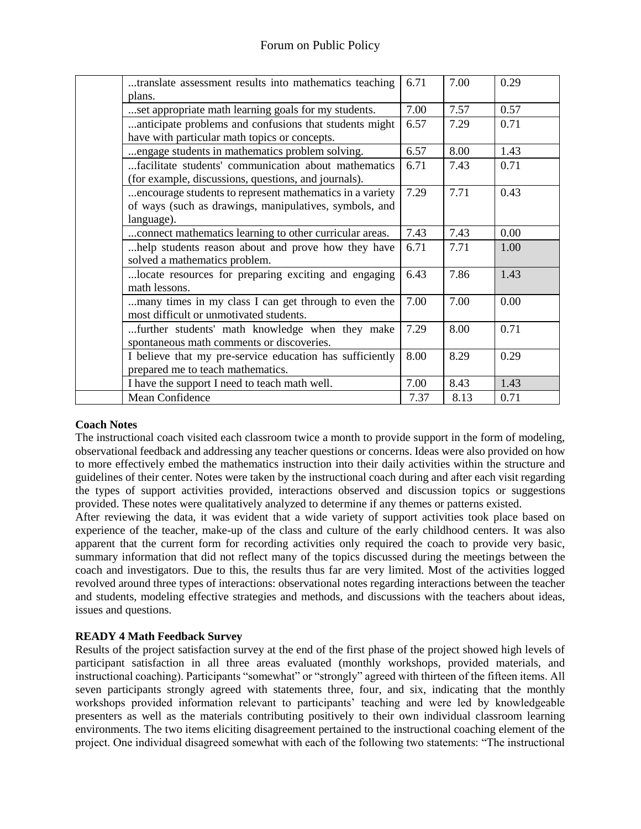| translate assessment results into mathematics teaching   | 6.71 | 7.00 | 0.29 |
|----------------------------------------------------------|------|------|------|
| plans.                                                   |      |      |      |
| set appropriate math learning goals for my students.     | 7.00 | 7.57 | 0.57 |
| anticipate problems and confusions that students might   | 6.57 | 7.29 | 0.71 |
| have with particular math topics or concepts.            |      |      |      |
| engage students in mathematics problem solving.          | 6.57 | 8.00 | 1.43 |
| facilitate students' communication about mathematics     | 6.71 | 7.43 | 0.71 |
| (for example, discussions, questions, and journals).     |      |      |      |
| encourage students to represent mathematics in a variety | 7.29 | 7.71 | 0.43 |
| of ways (such as drawings, manipulatives, symbols, and   |      |      |      |
| language).                                               |      |      |      |
| connect mathematics learning to other curricular areas.  | 7.43 | 7.43 | 0.00 |
| help students reason about and prove how they have       | 6.71 | 7.71 | 1.00 |
| solved a mathematics problem.                            |      |      |      |
| locate resources for preparing exciting and engaging     | 6.43 | 7.86 | 1.43 |
| math lessons.                                            |      |      |      |
| many times in my class I can get through to even the     | 7.00 | 7.00 | 0.00 |
| most difficult or unmotivated students.                  |      |      |      |
| further students' math knowledge when they make          | 7.29 | 8.00 | 0.71 |
| spontaneous math comments or discoveries.                |      |      |      |
| I believe that my pre-service education has sufficiently | 8.00 | 8.29 | 0.29 |
| prepared me to teach mathematics.                        |      |      |      |
| I have the support I need to teach math well.            | 7.00 | 8.43 | 1.43 |
| Mean Confidence                                          | 7.37 | 8.13 | 0.71 |

#### **Coach Notes**

The instructional coach visited each classroom twice a month to provide support in the form of modeling, observational feedback and addressing any teacher questions or concerns. Ideas were also provided on how to more effectively embed the mathematics instruction into their daily activities within the structure and guidelines of their center. Notes were taken by the instructional coach during and after each visit regarding the types of support activities provided, interactions observed and discussion topics or suggestions provided. These notes were qualitatively analyzed to determine if any themes or patterns existed.

After reviewing the data, it was evident that a wide variety of support activities took place based on experience of the teacher, make-up of the class and culture of the early childhood centers. It was also apparent that the current form for recording activities only required the coach to provide very basic, summary information that did not reflect many of the topics discussed during the meetings between the coach and investigators. Due to this, the results thus far are very limited. Most of the activities logged revolved around three types of interactions: observational notes regarding interactions between the teacher and students, modeling effective strategies and methods, and discussions with the teachers about ideas, issues and questions.

## **READY 4 Math Feedback Survey**

Results of the project satisfaction survey at the end of the first phase of the project showed high levels of participant satisfaction in all three areas evaluated (monthly workshops, provided materials, and instructional coaching). Participants "somewhat" or "strongly" agreed with thirteen of the fifteen items. All seven participants strongly agreed with statements three, four, and six, indicating that the monthly workshops provided information relevant to participants' teaching and were led by knowledgeable presenters as well as the materials contributing positively to their own individual classroom learning environments. The two items eliciting disagreement pertained to the instructional coaching element of the project. One individual disagreed somewhat with each of the following two statements: "The instructional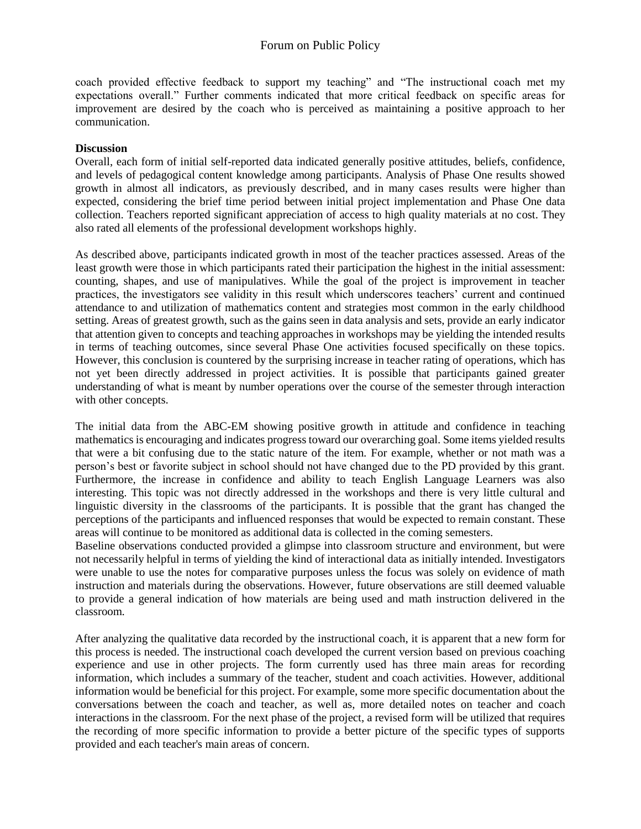coach provided effective feedback to support my teaching" and "The instructional coach met my expectations overall." Further comments indicated that more critical feedback on specific areas for improvement are desired by the coach who is perceived as maintaining a positive approach to her communication.

#### **Discussion**

Overall, each form of initial self-reported data indicated generally positive attitudes, beliefs, confidence, and levels of pedagogical content knowledge among participants. Analysis of Phase One results showed growth in almost all indicators, as previously described, and in many cases results were higher than expected, considering the brief time period between initial project implementation and Phase One data collection. Teachers reported significant appreciation of access to high quality materials at no cost. They also rated all elements of the professional development workshops highly.

As described above, participants indicated growth in most of the teacher practices assessed. Areas of the least growth were those in which participants rated their participation the highest in the initial assessment: counting, shapes, and use of manipulatives. While the goal of the project is improvement in teacher practices, the investigators see validity in this result which underscores teachers' current and continued attendance to and utilization of mathematics content and strategies most common in the early childhood setting. Areas of greatest growth, such as the gains seen in data analysis and sets, provide an early indicator that attention given to concepts and teaching approaches in workshops may be yielding the intended results in terms of teaching outcomes, since several Phase One activities focused specifically on these topics. However, this conclusion is countered by the surprising increase in teacher rating of operations, which has not yet been directly addressed in project activities. It is possible that participants gained greater understanding of what is meant by number operations over the course of the semester through interaction with other concepts.

The initial data from the ABC-EM showing positive growth in attitude and confidence in teaching mathematics is encouraging and indicates progress toward our overarching goal. Some items yielded results that were a bit confusing due to the static nature of the item. For example, whether or not math was a person's best or favorite subject in school should not have changed due to the PD provided by this grant. Furthermore, the increase in confidence and ability to teach English Language Learners was also interesting. This topic was not directly addressed in the workshops and there is very little cultural and linguistic diversity in the classrooms of the participants. It is possible that the grant has changed the perceptions of the participants and influenced responses that would be expected to remain constant. These areas will continue to be monitored as additional data is collected in the coming semesters.

Baseline observations conducted provided a glimpse into classroom structure and environment, but were not necessarily helpful in terms of yielding the kind of interactional data as initially intended. Investigators were unable to use the notes for comparative purposes unless the focus was solely on evidence of math instruction and materials during the observations. However, future observations are still deemed valuable to provide a general indication of how materials are being used and math instruction delivered in the classroom.

After analyzing the qualitative data recorded by the instructional coach, it is apparent that a new form for this process is needed. The instructional coach developed the current version based on previous coaching experience and use in other projects. The form currently used has three main areas for recording information, which includes a summary of the teacher, student and coach activities. However, additional information would be beneficial for this project. For example, some more specific documentation about the conversations between the coach and teacher, as well as, more detailed notes on teacher and coach interactions in the classroom. For the next phase of the project, a revised form will be utilized that requires the recording of more specific information to provide a better picture of the specific types of supports provided and each teacher's main areas of concern.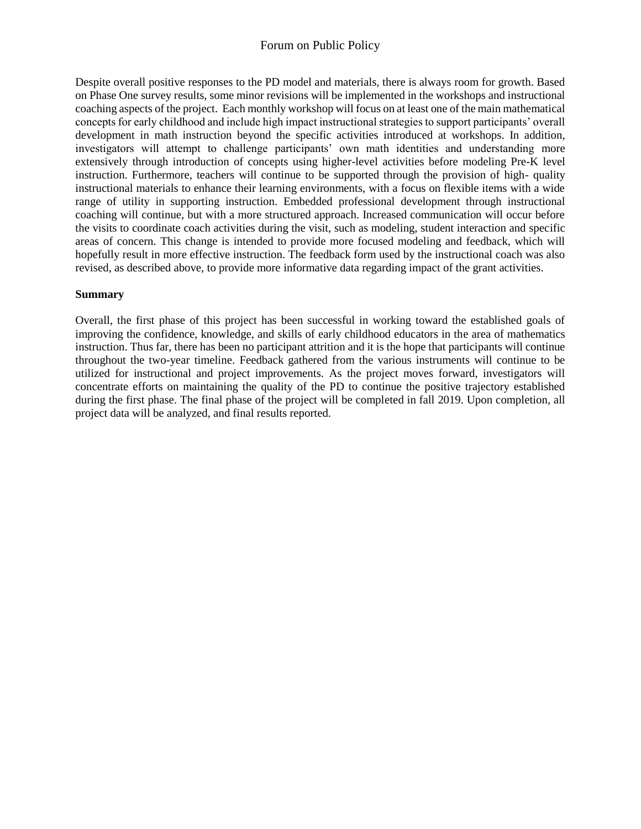## Forum on Public Policy

Despite overall positive responses to the PD model and materials, there is always room for growth. Based on Phase One survey results, some minor revisions will be implemented in the workshops and instructional coaching aspects of the project. Each monthly workshop will focus on at least one of the main mathematical concepts for early childhood and include high impact instructional strategies to support participants' overall development in math instruction beyond the specific activities introduced at workshops. In addition, investigators will attempt to challenge participants' own math identities and understanding more extensively through introduction of concepts using higher-level activities before modeling Pre-K level instruction. Furthermore, teachers will continue to be supported through the provision of high- quality instructional materials to enhance their learning environments, with a focus on flexible items with a wide range of utility in supporting instruction. Embedded professional development through instructional coaching will continue, but with a more structured approach. Increased communication will occur before the visits to coordinate coach activities during the visit, such as modeling, student interaction and specific areas of concern. This change is intended to provide more focused modeling and feedback, which will hopefully result in more effective instruction. The feedback form used by the instructional coach was also revised, as described above, to provide more informative data regarding impact of the grant activities.

#### **Summary**

Overall, the first phase of this project has been successful in working toward the established goals of improving the confidence, knowledge, and skills of early childhood educators in the area of mathematics instruction. Thus far, there has been no participant attrition and it is the hope that participants will continue throughout the two-year timeline. Feedback gathered from the various instruments will continue to be utilized for instructional and project improvements. As the project moves forward, investigators will concentrate efforts on maintaining the quality of the PD to continue the positive trajectory established during the first phase. The final phase of the project will be completed in fall 2019. Upon completion, all project data will be analyzed, and final results reported.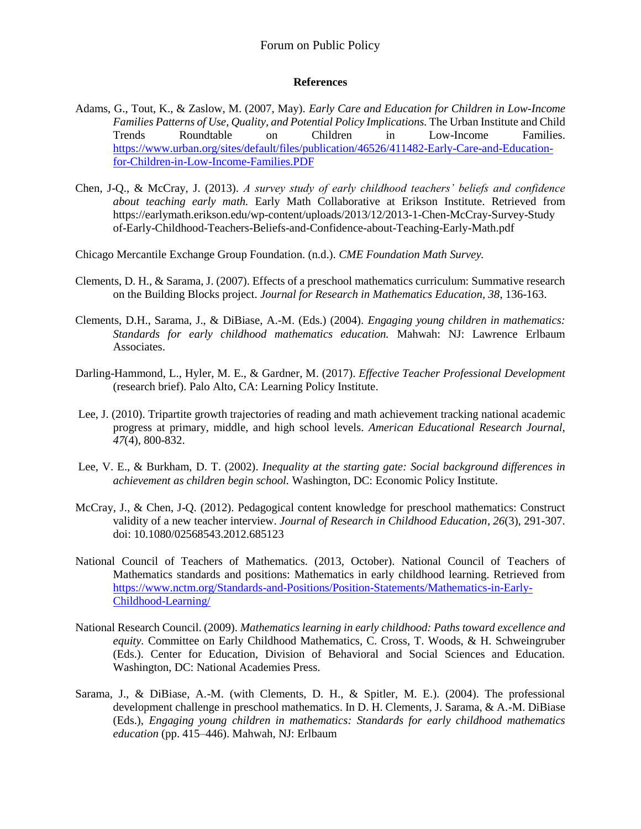## Forum on Public Policy

#### **References**

- Adams, G., Tout, K., & Zaslow, M. (2007, May). *Early Care and Education for Children in Low-Income Families Patterns of Use, Quality, and Potential Policy Implications.* The Urban Institute and Child Trends Roundtable on Children in Low-Income Families. [https://www.urban.org/sites/default/files/publication/46526/411482-Early-Care-and-Education](https://www.urban.org/sites/default/files/publication/46526/411482-Early-Care-and-Education-for-Children-in-Low-Income-Families.PDF)[for-Children-in-Low-Income-Families.PDF](https://www.urban.org/sites/default/files/publication/46526/411482-Early-Care-and-Education-for-Children-in-Low-Income-Families.PDF)
- Chen, J-Q., & McCray, J. (2013). *A survey study of early childhood teachers' beliefs and confidence about teaching early math.* Early Math Collaborative at Erikson Institute. Retrieved from <https://earlymath.erikson.edu/wp-content/uploads/2013/12/2013-1-Chen-McCray-Survey-Study> of-Early-Childhood-Teachers-Beliefs-and-Confidence-about-Teaching-Early-Math.pdf
- Chicago Mercantile Exchange Group Foundation. (n.d.). *CME Foundation Math Survey.*
- Clements, D. H., & Sarama, J. (2007). Effects of a preschool mathematics curriculum: Summative research on the Building Blocks project. *Journal for Research in Mathematics Education, 38*, 136-163.
- Clements, D.H., Sarama, J., & DiBiase, A.-M. (Eds.) (2004). *Engaging young children in mathematics: Standards for early childhood mathematics education.* Mahwah: NJ: Lawrence Erlbaum Associates.
- Darling-Hammond, L., Hyler, M. E., & Gardner, M. (2017). *Effective Teacher Professional Development* (research brief). Palo Alto, CA: Learning Policy Institute.
- Lee, J. (2010). Tripartite growth trajectories of reading and math achievement tracking national academic progress at primary, middle, and high school levels. *American Educational Research Journal, 47*(4), 800-832.
- Lee, V. E., & Burkham, D. T. (2002). *Inequality at the starting gate: Social background differences in achievement as children begin school.* Washington, DC: Economic Policy Institute.
- [McCray, J.,](https://earlymath.erikson.edu/collaborators/jennifermccray/) & [Chen, J-Q.](https://earlymath.erikson.edu/collaborators/JieQiChen/) (2012). Pedagogical content knowledge for preschool mathematics: Construct validity of a new teacher interview. *Journal of Research in Childhood Education*, *26*(3), 291-307. doi: 10.1080/02568543.2012.685123
- National Council of Teachers of Mathematics. (2013, October). National Council of Teachers of Mathematics standards and positions: Mathematics in early childhood learning. Retrieved from [https://www.nctm.org/Standards-and-Positions/Position-Statements/Mathematics-in-Early-](https://www.nctm.org/Standards-and-Positions/Position-Statements/Mathematics-in-Early-Childhood-Learning/)[Childhood-Learning/](https://www.nctm.org/Standards-and-Positions/Position-Statements/Mathematics-in-Early-Childhood-Learning/)
- National Research Council. (2009). *Mathematics learning in early childhood: Paths toward excellence and equity.* Committee on Early Childhood Mathematics, C. Cross, T. Woods, & H. Schweingruber (Eds.). Center for Education, Division of Behavioral and Social Sciences and Education. Washington, DC: National Academies Press.
- Sarama, J., & DiBiase, A.-M. (with Clements, D. H., & Spitler, M. E.). (2004). The professional development challenge in preschool mathematics. In D. H. Clements, J. Sarama, & A.-M. DiBiase (Eds.), *Engaging young children in mathematics: Standards for early childhood mathematics education* (pp. 415–446). Mahwah, NJ: Erlbaum